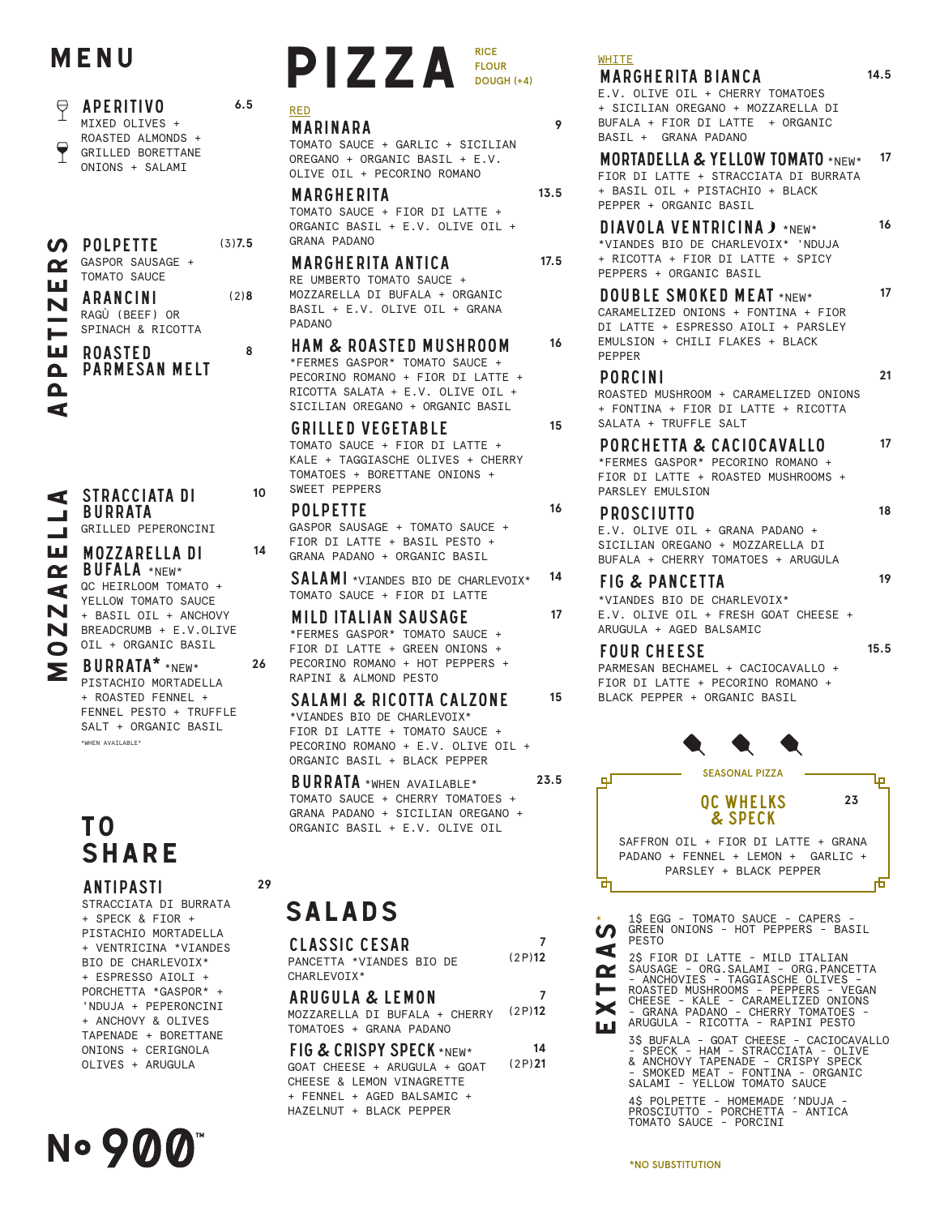# MENU

### $\Theta$ **APERITIVO** MTXFD OLTVFS + ROASTED ALMONDS + GRILLED BORETTANE ONTONS + SAI AMT

|    | <b>SOLPETTE</b>  |  |
|----|------------------|--|
| Œ. | GASPOR SAUSAGE + |  |
|    | TOMATO SAUCE     |  |
| ш  | <b>ADANCINI</b>  |  |

**ARANCINI** RAGÙ (BEEF) OR SPINACH & RICOTTA

**ROASTED PARMESAN MELT** 

STRACCIATA DI

GRILLED PEPERONCINI

QC HEIRLOOM TOMATO +

YELLOW TOMATO SAUCE

+ BASIL OIL + ANCHOVY

**MOZZARELLA DI** 

BUFALA \*NEW\*

**BURRATA** 

# ⋖ ш ⋖ BREADCRUMB + E.V.OLIVE N

N

ш

 $\mathbf{\Omega}$ 

 $\Omega$ 

 $\blacktriangleleft$ 

OIL + ORGANIC BASIL BURRATA\* \*NEW\* PISTACHIO MORTADELLA + ROASTED FENNEL + FENNEL PESTO + TRUFFLE SALT + ORGANIC BASIL .<br>"WHEN AVATIABLE"

# T O **SHARE**

# **ANTIPASTI**

STRACCIATA DI BURRATA + SPECK & FIOR + PISTACHIO MORTADELLA + VENTRICINA \*VIANDES BTO DE CHARLEVOTX\* + ESPRESSO AIOLI + PORCHETTA \*GASPOR\* + 'NDUJA + PEPERONCINI + ANCHOVY & OLIVES TAPENADE + BORETTANE ONIONS + CERIGNOLA OLIVES + ARUGULA

### PIZZA **RICF FLOUR** DOUGH (+4)

### **RFD MARINARA**

 $6.5$ 

 $(3)7.5$ 

 $(2)8$ 

 $\mathbf{a}$ 

10

 $14$ 

 $26$ 

29

TOMATO SAUCE + GARLIC + SICILIAN OREGANO + ORGANIC BASIL + E.V. OLIVE OIL + PECORINO ROMANO

### **MARGHERITA**

TOMATO SAUCE + FIOR DI LATTE + ORGANIC BASIL + E.V. OLIVE OIL + GRANA PADANO

# **MARGHERITA ANTICA**

RE UMBERTO TOMATO SAUCE + MOZZARELLA DI BUFALA + ORGANIC BASIL + E.V. OLIVE OIL + GRANA **PADANO** 

**HAM & ROASTED MUSHROOM** \*FERMES GASPOR\* TOMATO SAUCE + PECORTNO ROMANO + FTOR DT LATTE + RICOTTA SALATA + E.V. OLIVE OIL + SICILIAN OREGANO + ORGANIC BASIL

### **GRILLED VEGETABLE**

TOMATO SAUCE + FIOR DI LATTE + KALE + TAGGIASCHE OLIVES + CHERRY TOMATOES + BORETTANE ONIONS + SWEET PEPPERS

### **POLPETTE** GASPOR SAUSAGE + TOMATO SAUCE + FIOR DI LATTE + BASIL PESTO + GRANA PADANO + ORGANTC BASTI

**SALAMI** \*VIANDES BIO DE CHARLEVOIX\* TOMATO SAUCE + FIOR DI LATTE

### **MILD ITALIAN SAUSAGE** \*FERMES GASPOR\* TOMATO SAUCE + FTOR DT LATTE + GREEN ONTONS + PECORINO ROMANO + HOT PEPPERS + RAPINI & ALMOND PESTO

### **SALAMI & RICOTTA CALZONE** \*VIANDES BIO DE CHARLEVOIX\* FIOR DI LATTE + TOMATO SAUCE + PECORINO ROMANO + E.V. OLIVE OIL + ORGANIC BASIL + BLACK PEPPER

**BURRATA** \*WHEN AVAILABLE\* TOMATO SAUCE + CHERRY TOMATOES + GRANA PADANO + SICILIAN OREGANO + ORGANIC BASIL + E.V. OLIVE OIL

# **SALADS**

| CLASSIC CESAR<br>PANCFTTA *VTANDES BTO DF<br>CHARI FVOTX*                                                                                      | (2P)12       |
|------------------------------------------------------------------------------------------------------------------------------------------------|--------------|
| ARUGULA & LEMON<br>MOZZARELLA DI BUFALA + CHERRY<br>TOMATOFS + GRANA PADANO                                                                    | 7<br>(2P)12  |
| FIG & CRISPY SPECK *NEW*<br>GOAT CHEESE + ARUGULA + GOAT<br>CHEESE & LEMON VINAGRETTE<br>+ FFNNFL + AGFD BALSAMTC +<br>HAZELNUT + BLACK PEPPER | 14<br>(2P)21 |

# **WHITE**

 $\mathbf{Q}$ 

 $13<sub>5</sub>$ 

 $17.5$ 

16

15

16

14

 $17$ 

15

23.5

# **MARGHERITA BIANCA**

E.V. OLIVE OIL + CHERRY TOMATOES + SICILIAN OREGANO + MOZZARELLA DI BUFALA + FIOR DI LATTE + ORGANIC BASIL + GRANA PADANO

#### **MORTADELLA & YELLOW TOMATO \*NEW\*** 17 FIOR DI LATTE + STRACCIATA DI BURRATA + BASIL OIL + PISTACHIO + BLACK PEPPER + ORGANIC BASIL 16

DIAVOLA VENTRICINA) \*NEW\* \*VIANDES BIO DE CHARLEVOIX\* 'NDUJA + RICOTTA + FIOR DI LATTE + SPICY PEPPERS + ORGANIC BASIL

#### $17$ **DOUBLE SMOKED MEAT \*NEW\*** CARAMELIZED ONIONS + FONTINA + FIOR DI LATTE + ESPRESSO AIOLI + PARSLEY

EMULSION + CHILI FLAKES + BLACK PEPPER

# **PORCINI**

ROASTED MUSHROOM + CARAMELTZED ONTONS + FONTINA + FIOR DI LATTE + RICOTTA SALATA + TRUFFLE SALT

#### 17 PORCHETTA & CACIOCAVALLO

\*FERMES GASPOR\* PECORINO ROMANO + FIOR DI LATTE + ROASTED MUSHROOMS + PARSLEY EMULSION

#### 18 **PROSCIUTTO** E.V. OLIVE OIL + GRANA PADANO + STCTLTAN ORFGANO + MOZZARFILA DT

BUFALA + CHERRY TOMATOES + ARUGULA **FIG & PANCETTA** 

### 19

 $15.5$ 

 $21$ 

14.5

\*VIANDES BIO DE CHARLEVOIX\* E.V. OLIVE OIL + FRESH GOAT CHEESE + ARUGULA + AGED BALSAMIC

# **FOUR CHEESE**

PARMESAN BECHAMEL + CACIOCAVALLO + FIOR DI LATTE + PECORINO ROMANO + BLACK PEPPER + ORGANIC BASIL



1\$ EGG - TOMATO SAUCE - CAPERS -<br>GREEN ONIONS - HOT PEPPERS - BASIL  $\boldsymbol{\omega}$ PESTO ⋖

2\$ FIOR DI LATTE - MILD ITALIAN<br>SAUSAGE - ORG.SALAMI - ORG.PANCETTA<br>- ANCHOVIES - TAGGIASCHE OLIVES -<br>ROASTED MUSHROOMS - PEPPERS - VEGAN<br>CHEESE - KALE - CARAMELIZED ONIONS<br>- GRANA PADANO - CHERRY TOMATOES - $\boldsymbol{\alpha}$ × ARUGULA - RICOTTA - RAPINI PESTO l a l

3\$ BUFALA - GOAT CHEESE - CACIOCAVALLO<br>- SPECK - HAM - STRACCIATA - OLIVE<br>& ANCHOVY TAPENADE - CRISPY SPECK<br>- SMOKED MEAT - FONTINA - ORGANIC<br>SALAMI - YELLOW TOMATO SAUCE

4\$ POLPETTE - HOMEMADE 'NDUJA -<br>PROSCIUTTO - PORCHETTA - ANTICA<br>TOMATO SAUCE - PORCINI